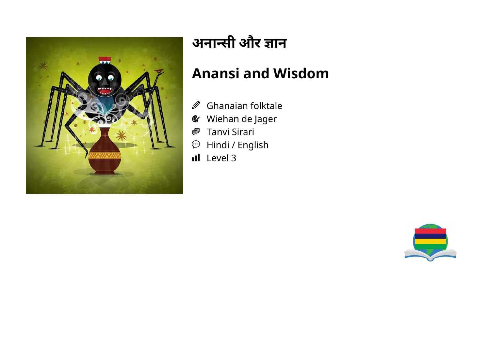

# **अनासी और ान**

## **Anansi and Wisdom**

- $\mathscr{D}$ Ghanaian folktale
- Wiehan de Jager  $\mathcal{L}$
- Tanvi Sirari 粵
- Hindi / English  $\odot$
- Il Level 3

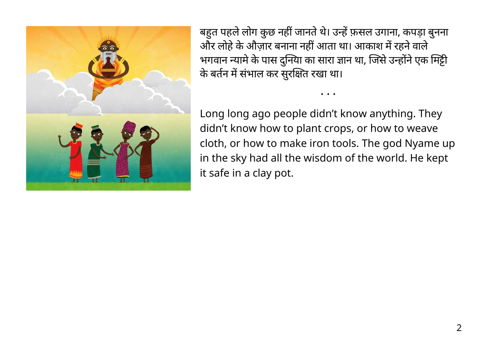

बहुत पहले लोग कुछ नहीं जानते थे। उन्हें फ़सल उगाना, कपड़ा बुनना और लोहे के औज़ार बनाना नहीं आता था। आकाश में रहने वाले भगवान न्यामे के पास दुनिया का सारा ज्ञान था, जिसे उन्होंने एक मिट्टी के बर्तन में संभाल कर सुरक्षित रखा था।

Long long ago people didn't know anything. They didn't know how to plant crops, or how to weave cloth, or how to make iron tools. The god Nyame up in the sky had all the wisdom of the world. He kept it safe in a clay pot.

• • •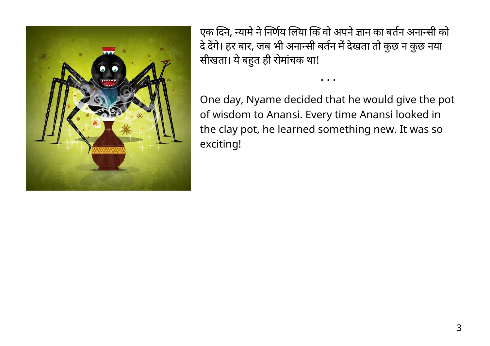

एक दिने, न्यामे ने निर्णय लिया कि वो अपने ज्ञान का बर्तन अनान्सी को दे देंगे। हर बार, जब भी अनान्सी बर्तन में देखता तो कुछ न कुछ नया सीखता। ये बहुत ही रोमाचक था!

One day, Nyame decided that he would give the pot of wisdom to Anansi. Every time Anansi looked in the clay pot, he learned something new. It was so exciting!

• • •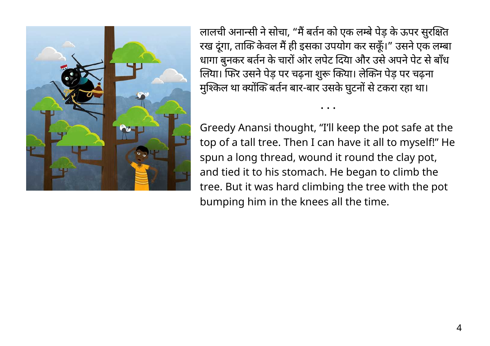

लालची अनान्सी ने सोचा, "मैं बर्तन को एक लम्बे पेड़ के ऊपर सुरक्षित रख दूंगा, ताकि केवल मैं ही इसका उपयोग कर सकूँ।" उसने एक लम्बा धागा बुनकर बर्तन के चारों ओर लपेट दिया और उसे अपने पेट से बाँध लिया। फिर उसने पेड़ पर चढ़ना शुरू किया। लेकिन पेड़ पर चढ़ना मुश्किल था क्योंकि बर्तन बार-बार उसके घुटनों से टकरा रहा था।

Greedy Anansi thought, "I'll keep the pot safe at the top of a tall tree. Then I can have it all to myself!" He spun a long thread, wound it round the clay pot, and tied it to his stomach. He began to climb the tree. But it was hard climbing the tree with the pot bumping him in the knees all the time.

• • •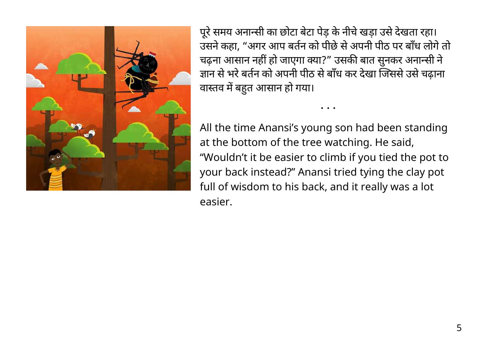

पूरे समय अनान्सी का छोटा बेटा पेड़ के नीचे खड़ा उसे देखता रहा। उसने कहा, "अगर आप बर्तन को पीछे से अपनी पीठ पर बाँध लोगे तो चढ़ना आसान नहीं हो जाएगा क्या?" उसकी बात सुनकर अनान्सी ने ज्ञान से भरे बर्तन को अपनी पीठ से बाँध कर देखा जिससे उसे चढाना वास्तव में बहुत आसान हो गया।

• • •

All the time Anansi's young son had been standing at the bottom of the tree watching. He said, "Wouldn't it be easier to climb if you tied the pot to your back instead?" Anansi tried tying the clay pot full of wisdom to his back, and it really was a lot easier.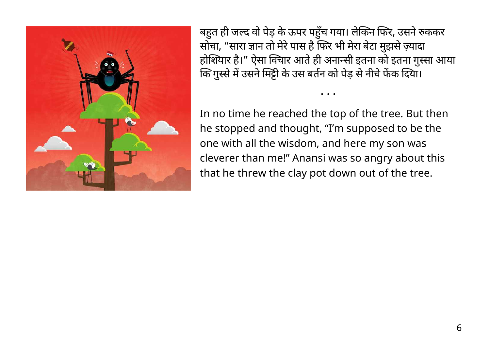

बहुत ही जल्द वो पेड़ के ऊपर पहुंच गया। लेकिन फिर, उसने रुककर सोचा, "सारा ज्ञान तो मेरे पास है फिर भी मेरा बेटा मुझसे ज़्यादा होशियार है।" ऐसा विचार आते ही अनान्सी इतना को इतना गुस्सा आया कि गुस्से में उसने मिट्टी के उस बर्तन को पेड़ से नीचे फेंक दिया।

• • •

In no time he reached the top of the tree. But then he stopped and thought, "I'm supposed to be the one with all the wisdom, and here my son was cleverer than me!" Anansi was so angry about this that he threw the clay pot down out of the tree.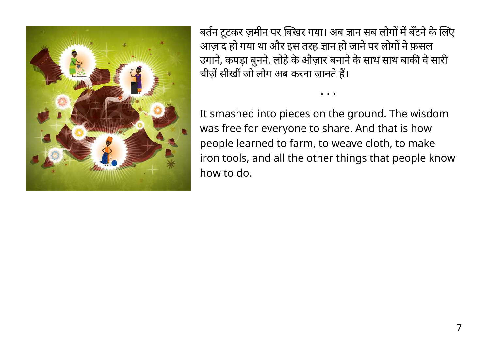

बर्तन टूटकर ज़मीन पर बिखर गया। अब ज्ञान सब लोगों में बँटने के लिए आज़ाद हो गया था और इस तरह ज्ञान हो जाने पर लोगों ने फ़सल उगाने, कपड़ा बुनने, लोहे के औज़ार बनाने के साथ साथ बाकी वे सारी चीज़ें सीखीं जो लोग अब करना जानते हैं।

• • •

It smashed into pieces on the ground. The wisdom was free for everyone to share. And that is how people learned to farm, to weave cloth, to make iron tools, and all the other things that people know how to do.